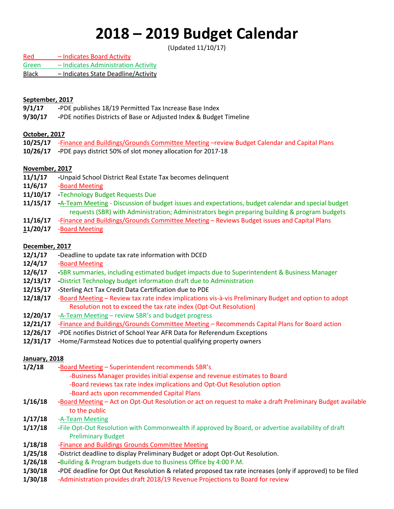# **2018 – 2019 Budget Calendar**

(Updated 11/10/17)

Red – Indicates Board Activity Green – Indicates Administration Activity Black – Indicates State Deadline/Activity

## **September, 2017**

- **9/1/17 -**PDE publishes 18/19 Permitted Tax Increase Base Index
- **9/30/17 -**PDE notifies Districts of Base or Adjusted Index & Budget Timeline

# **October, 2017**

- **10/25/17** -Finance and Buildings/Grounds Committee Meeting –review Budget Calendar and Capital Plans
- **10/26/17 -**PDE pays district 50% of slot money allocation for 2017-18

# **November, 2017**

- **11/1/17 -**Unpaid School District Real Estate Tax becomes delinquent
- **11/6/17** -Board Meeting
- **11/10/17 -**Technology Budget Requests Due
- **11/15/17 -**A-Team Meeting Discussion of budget issues and expectations, budget calendar and special budget requests (SBR) with Administration; Administrators begin preparing building & program budgets
- **11/16/17** -Finance and Buildings/Grounds Committee Meeting Reviews Budget issues and Capital Plans
- **11/20/17** Board Meeting

#### **December, 2017**

- **12/1/17 -**Deadline to update tax rate information with DCED
- **12/4/17** -Board Meeting
- **12/6/17 -**SBR summaries, including estimated budget impacts due to Superintendent & Business Manager
- **12/13/17 -**District Technology budget information draft due to Administration
- **12/15/17 -**Sterling Act Tax Credit Data Certification due to PDE
- **12/18/17** -Board Meeting Review tax rate index implications vis-à-vis Preliminary Budget and option to adopt Resolution not to exceed the tax rate index (Opt-Out Resolution)
- **12/20/17** -A-Team Meeting review SBR's and budget progress
- **12/21/17** -Finance and Buildings/Grounds Committee Meeting Recommends Capital Plans for Board action
- **12/26/17 -**PDE notifies District of School Year AFR Data for Referendum Exceptions
- **12/31/17 -**Home/Farmstead Notices due to potential qualifying property owners

# **January, 2018**

- **1/2/18 -**Board Meeting Superintendent recommends SBR's -Business Manager provides initial expense and revenue estimates to Board
	- -Board reviews tax rate index implications and Opt-Out Resolution option
	- -Board acts upon recommended Capital Plans
- **1/16/18 -**Board Meeting Act on Opt-Out Resolution or act on request to make a draft Preliminary Budget available to the public
- **1/17/18** -A-Team Meeting
- **1/17/18 -**File Opt-Out Resolution with Commonwealth if approved by Board, or advertise availability of draft Preliminary Budget
- **1/18/18** -Finance and Buildings Grounds Committee Meeting
- **1/25/18 -**District deadline to display Preliminary Budget or adopt Opt-Out Resolution.
- **1/26/18 -**Building & Program budgets due to Business Office by 4:00 P.M.
- **1/30/18 -**PDE deadline for Opt Out Resolution & related proposed tax rate increases (only if approved) to be filed
- **1/30/18** -Administration provides draft 2018/19 Revenue Projections to Board for review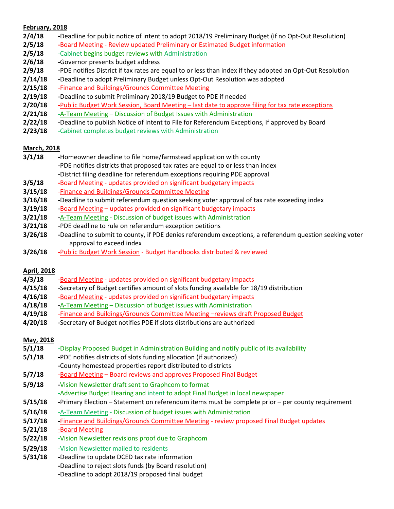## **February, 2018**

- **2/4/18 -**Deadline for public notice of intent to adopt 2018/19 Preliminary Budget (if no Opt-Out Resolution)
- **2/5/18 -**Board Meeting Review updated Preliminary or Estimated Budget information
- **2/5/18** -Cabinet begins budget reviews with Administration
- **2/6/18 -**Governor presents budget address
- **2/9/18 -**PDE notifies District if tax rates are equal to or less than index if they adopted an Opt-Out Resolution
- **2/14/18 -**Deadline to adopt Preliminary Budget unless Opt-Out Resolution was adopted
- **2/15/18** -Finance and Buildings/Grounds Committee Meeting
- **2/19/18 -**Deadline to submit Preliminary 2018/19 Budget to PDE if needed
- **2/20/18 -**Public Budget Work Session, Board Meeting last date to approve filing for tax rate exceptions
- **2/21/18 -**A-Team Meeting Discussion of Budget Issues with Administration
- **2/22/18 -**Deadline to publish Notice of Intent to File for Referendum Exceptions, if approved by Board
- **2/23/18** -Cabinet completes budget reviews with Administration

#### **March, 2018**

- **3/1/18 -**Homeowner deadline to file home/farmstead application with county **-**PDE notifies districts that proposed tax rates are equal to or less than index **-**District filing deadline for referendum exceptions requiring PDE approval
- **3/5/18 -**Board Meeting updates provided on significant budgetary impacts
- **3/15/18** -Finance and Buildings/Grounds Committee Meeting
- **3/16/18 -**Deadline to submit referendum question seeking voter approval of tax rate exceeding index
- **3/19/18 -**Board Meeting updates provided on significant budgetary impacts
- **3/21/18 -**A-Team Meeting Discussion of budget issues with Administration
- **3/21/18** -PDE deadline to rule on referendum exception petitions
- **3/26/18 -**Deadline to submit to county, if PDE denies referendum exceptions, a referendum question seeking voter approval to exceed index
- **3/26/18 -**Public Budget Work Session Budget Handbooks distributed & reviewed

# **April, 2018**

- **4/3/18** -Board Meeting updates provided on significant budgetary impacts
- **4/15/18** -Secretary of Budget certifies amount of slots funding available for 18/19 distribution
- **4/16/18** -Board Meeting updates provided on significant budgetary impacts
- **4/18/18 -**A-Team Meeting Discussion of budget issues with Administration
- **4/19/18** -Finance and Buildings/Grounds Committee Meeting –reviews draft Proposed Budget
- **4/20/18 -**Secretary of Budget notifies PDE if slots distributions are authorized

# **May, 2018**

- **5/1/18 -**Display Proposed Budget in Administration Building and notify public of its availability
- **5/1/18 -**PDE notifies districts of slots funding allocation (if authorized)
- **-**County homestead properties report distributed to districts
- **5/7/18 -**Board Meeting Board reviews and approves Proposed Final Budget
- **5/9/18 -**Vision Newsletter draft sent to Graphcom to format
	- **-**Advertise Budget Hearing and intent to adopt Final Budget in local newspaper
- **5/15/18 -**Primary Election Statement on referendum items must be complete prior per county requirement
- **5/16/18** -A-Team Meeting Discussion of budget issues with Administration
- **5/17/18 -**Finance and Buildings/Grounds Committee Meeting review proposed Final Budget updates
- **5/21/18** -Board Meeting
- **5/22/18 -**Vision Newsletter revisions proof due to Graphcom
- **5/29/18** -Vision Newsletter mailed to residents
- **5/31/18 -**Deadline to update DCED tax rate information **-**Deadline to reject slots funds (by Board resolution) **-**Deadline to adopt 2018/19 proposed final budget